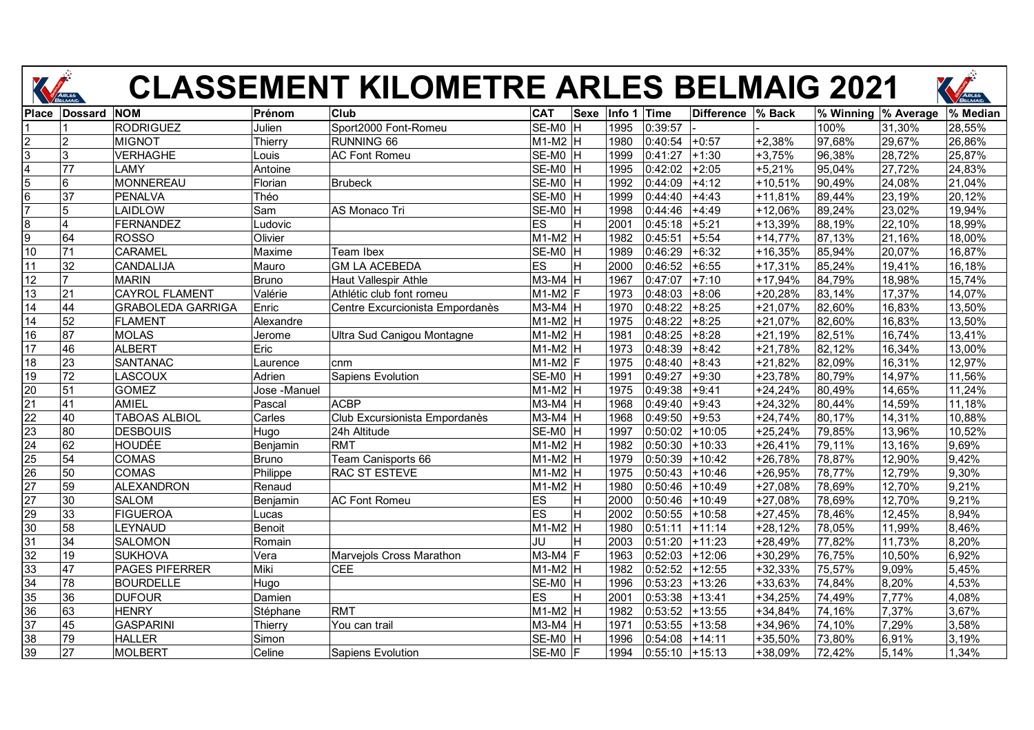

## **CLASSEMENT KILOMETRE ARLES BELMAIG 2021**

|                 |                 |                          |              | <b>CLASSEMENT KILOMETRE ARLES BELMAIG 2021</b> |                           |        |         |                   |           |                      |        | ARLES    |
|-----------------|-----------------|--------------------------|--------------|------------------------------------------------|---------------------------|--------|---------|-------------------|-----------|----------------------|--------|----------|
| <b>Place</b>    | <b>Dossard</b>  | <b>NOM</b>               | Prénom       | Club                                           | <b>CAT</b><br><b>Sexe</b> | Info 1 | Time    | <b>Difference</b> | % Back    | % Winning  % Average |        | % Median |
|                 |                 | <b>RODRIGUEZ</b>         | Julien       | Sport2000 Font-Romeu                           | $SE-MO$ H                 | 1995   | 0:39:57 |                   |           | 100%                 | 31,30% | 28,55%   |
| $\overline{2}$  |                 | <b>MIGNOT</b>            | Thierry      | RUNNING 66                                     | M1-M2 H                   | 1980   | 0:40:54 | $+0:57$           | $+2,38%$  | 97,68%               | 29,67% | 26,86%   |
| $\overline{3}$  | 3               | <b>VERHAGHE</b>          | _ouis        | <b>AC Font Romeu</b>                           | SE-MO H                   | 1999   | 0:41:27 | $+1:30$           | $+3,75%$  | 96,38%               | 28.72% | 25,87%   |
| $\overline{4}$  | 77              | LAMY                     | Antoine      |                                                | SE-M0<br>lн               | 1995   | 0:42:02 | $+2:05$           | $+5,21%$  | 95,04%               | 27,72% | 24,83%   |
| $\overline{5}$  | 6               | <b>MONNEREAU</b>         | Florian      | Brubeck                                        | $SE-MO$ H                 | 1992   | 0:44:09 | $+4:12$           | $+10,51%$ | 90,49%               | 24,08% | 21,04%   |
| $6\phantom{.}6$ | 37              | <b>PENALVA</b>           | Théo         |                                                | SE-M0<br>ΙH               | 1999   | 0:44:40 | $+4:43$           | $+11,81%$ | 89,44%               | 23,19% | 20,12%   |
| 7               | 5               | LAIDLOW                  | Sam          | <b>AS Monaco Tri</b>                           | SE-MO H                   | 1998   | 0:44:46 | $+4:49$           | +12,06%   | 89,24%               | 23,02% | 19,94%   |
| 8               | $\overline{4}$  | <b>FERNANDEZ</b>         | _udovic      |                                                | ES<br>H                   | 2001   | 0:45:18 | $+5:21$           | +13,39%   | 88,19%               | 22,10% | 18,99%   |
| $\overline{9}$  | 64              | <b>ROSSO</b>             | Olivier      |                                                | $M1-M2$ H                 | 1982   | 0:45:51 | $+5:54$           | $+14,77%$ | 87,13%               | 21,16% | 18,00%   |
| 10              | 71              | <b>CARAMEL</b>           | Maxime       | Team Ibex                                      | SE-MO H                   | 1989   | 0:46:29 | $+6:32$           | $+16,35%$ | 85,94%               | 20,07% | 16,87%   |
| 11              | 32              | CANDALIJA                | Mauro        | <b>GM LA ACEBEDA</b>                           | <b>ES</b><br>H            | 2000   | 0:46:52 | $+6:55$           | $+17,31%$ | 85,24%               | 19,41% | 16,18%   |
| 12              | $\overline{7}$  | <b>MARIN</b>             | Bruno        | Haut Vallespir Athle                           | $M3-M4$ H                 | 1967   | 0:47:07 | $+7:10$           | $+17,94%$ | 84,79%               | 18,98% | 15,74%   |
| 13              | 21              | <b>CAYROL FLAMENT</b>    | Valérie      | Athlétic club font romeu                       | $M1-M2$ F                 | 1973   | 0:48:03 | $+8:06$           | +20,28%   | 83,14%               | 17,37% | 14,07%   |
| 14              | 44              | <b>GRABOLEDA GARRIGA</b> | Enric        | Centre Excurcionista Empordanès                | $M3-M4$ H                 | 1970   | 0:48:22 | $+8:25$           | $+21,07%$ | 82,60%               | 16,83% | 13,50%   |
| 14              | 52              | <b>FLAMENT</b>           | Alexandre    |                                                | $M1-M2$ H                 | 1975   | 0:48:22 | $+8:25$           | $+21,07%$ | 82,60%               | 16,83% | 13,50%   |
| 16              | 87              | <b>MOLAS</b>             | Jerome       | Ultra Sud Canigou Montagne                     | $M1-M2$ H                 | 1981   | 0:48:25 | $+8:28$           | $+21,19%$ | 82,51%               | 16,74% | 13,41%   |
| 17              | 46              | <b>ALBERT</b>            | Eric         |                                                | $M1-M2$ H                 | 1973   | 0:48:39 | $+8:42$           | $+21,78%$ | 82,12%               | 16,34% | 13,00%   |
| 18              | 23              | <b>SANTANAC</b>          | _aurence     | cnm                                            | $M1-M2$ F                 | 1975   | 0:48:40 | $+8:43$           | +21,82%   | 82,09%               | 16,31% | 12,97%   |
| 19              | $\overline{72}$ | LASCOUX                  | Adrien       | Sapiens Evolution                              | $SE-MO$ H                 | 1991   | 0:49:27 | $+9:30$           | +23,78%   | 80,79%               | 14,97% | 11,56%   |
| 20              | 51              | <b>GOMEZ</b>             | Jose -Manuel |                                                | M1-M2 H                   | 1975   | 0:49:38 | $+9:41$           | $+24,24%$ | 80,49%               | 14,65% | 11,24%   |
| 21              | 41              | AMIEL                    | Pascal       | <b>ACBP</b>                                    | $M3-M4$ H                 | 1968   | 0:49:40 | $+9:43$           | $+24,32%$ | 80,44%               | 14,59% | 11,18%   |
| $\overline{22}$ | 40              | <b>TABOAS ALBIOL</b>     | Carles       | Club Excursionista Empordanès                  | M3-M4 H                   | 1968   | 0:49:50 | $+9:53$           | $+24,74%$ | 80,17%               | 14,31% | 10,88%   |
| 23              | 80              | <b>DESBOUIS</b>          | Hugo         | 24h Altitude                                   | $SE-MO$ H                 | 1997   | 0:50:02 | $+10:05$          | $+25,24%$ | 79,85%               | 13,96% | 10,52%   |
| $\overline{24}$ | 62              | <b>HOUDÉE</b>            | Benjamin     | <b>RMT</b>                                     | $M1-M2$ H                 | 1982   | 0:50:30 | $+10:33$          | $+26,41%$ | 79,11%               | 13,16% | 9,69%    |
| 25              | 54              | <b>COMAS</b>             | <b>Bruno</b> | Team Canisports 66                             | $M1-M2$ H                 | 1979   | 0:50:39 | $+10:42$          | +26,78%   | 78,87%               | 12,90% | 9,42%    |
| 26              | 50              | <b>COMAS</b>             | Philippe     | <b>RAC ST ESTEVE</b>                           | $M1-M2$ H                 | 1975   | 0:50:43 | $+10:46$          | +26,95%   | 78,77%               | 12,79% | 9,30%    |
| $\overline{27}$ | 59              | <b>ALEXANDRON</b>        | Renaud       |                                                | $M1-M2$ H                 | 1980   | 0:50:46 | $+10:49$          | +27,08%   | 78,69%               | 12,70% | 9,21%    |
| $\overline{27}$ | 30              | <b>SALOM</b>             | Benjamin     | <b>AC Font Romeu</b>                           | ES<br>H                   | 2000   | 0:50:46 | $+10:49$          | $+27,08%$ | 78,69%               | 12,70% | 9,21%    |
| 29              | 33              | <b>FIGUEROA</b>          | Lucas        |                                                | <b>ES</b><br>H            | 2002   | 0:50:55 | $+10:58$          | $+27,45%$ | 78,46%               | 12,45% | 8,94%    |
| 30              | 58              | LEYNAUD                  | Benoit       |                                                | $M1-M2$ H                 | 1980   | 0:51:11 | $+11:14$          | $+28,12%$ | 78,05%               | 11,99% | 8,46%    |
| 31              | 34              | <b>SALOMON</b>           | Romain       |                                                | JU<br>Н                   | 2003   | 0:51:20 | $+11:23$          | +28,49%   | 77,82%               | 11,73% | 8,20%    |
| 32              | 19              | <b>SUKHOVA</b>           | Vera         | Marvejols Cross Marathon                       | M3-M4<br>IF.              | 1963   | 0:52:03 | $+12:06$          | +30,29%   | 76,75%               | 10,50% | 6,92%    |
| 33              | 47              | <b>PAGES PIFERRER</b>    | Miki         | <b>CEE</b>                                     | M1-M2 H                   | 1982   | 0:52:52 | $+12:55$          | $+32,33%$ | 75,57%               | 9,09%  | 5,45%    |
| $\overline{34}$ | 78              | <b>BOURDELLE</b>         | Hugo         |                                                | $SE-MO$ H                 | 1996   | 0:53:23 | $+13:26$          | +33,63%   | 74,84%               | 8,20%  | 4,53%    |
| 35              | 36              | <b>DUFOUR</b>            | Damien       |                                                | ES<br>H                   | 2001   | 0:53:38 | $+13:41$          | $+34,25%$ | 74,49%               | 7,77%  | 4,08%    |
| 36              | 63              | <b>HENRY</b>             | Stéphane     | <b>RMT</b>                                     | M1-M2 H                   | 1982   | 0:53:52 | $+13:55$          | +34,84%   | 74,16%               | 7,37%  | 3,67%    |
| 37              | 45              | <b>GASPARINI</b>         | Thierrv      | You can trail                                  | M3-M4 H                   | 1971   | 0:53:55 | $+13:58$          | +34,96%   | 74,10%               | 7,29%  | 3,58%    |
| 38              | 79              | <b>HALLER</b>            | Simon        |                                                | SE-M0<br>H                | 1996   | 0:54:08 | $+14:11$          | +35,50%   | 73,80%               | 6,91%  | 3,19%    |
| 39              | $\overline{27}$ | <b>MOLBERT</b>           | Celine       | <b>Sapiens Evolution</b>                       | SE-MO F                   | 1994   | 0:55:10 | $+15:13$          | +38,09%   | 72,42%               | 5,14%  | 1,34%    |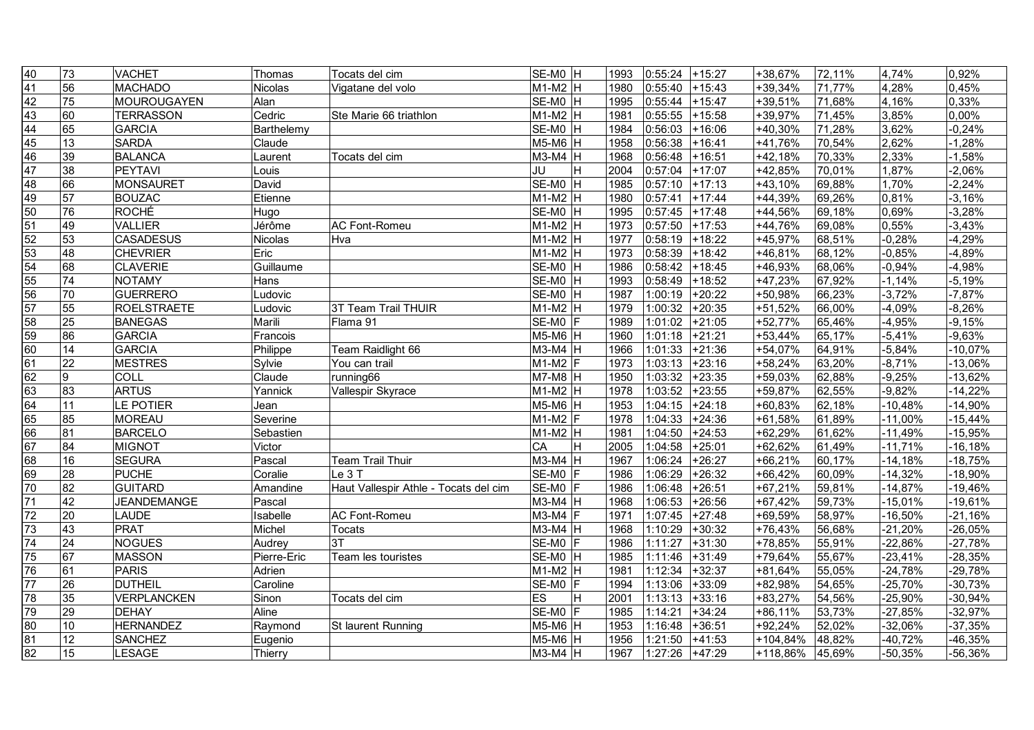| 40                                                                              | $\overline{73}$ | <b>VACHET</b>      | Thomas      | Tocats del cim                        | SE-MO H           |    | 1993 | 0:55:24 | $+15:27$ | +38,67%    | 72,11% | 4,74%     | 0,92%     |
|---------------------------------------------------------------------------------|-----------------|--------------------|-------------|---------------------------------------|-------------------|----|------|---------|----------|------------|--------|-----------|-----------|
| 41                                                                              | 56              | <b>MACHADO</b>     | Nicolas     | Vigatane del volo                     | $M1-M2$ H         |    | 1980 | 0:55:40 | $+15:43$ | +39,34%    | 71,77% | 4,28%     | 0,45%     |
| $\frac{42}{43}$                                                                 | 75              | <b>MOUROUGAYEN</b> | Alan        |                                       | SE-MO H           |    | 1995 | 0:55:44 | $+15:47$ | +39,51%    | 71,68% | 4,16%     | 0,33%     |
|                                                                                 | 60              | <b>TERRASSON</b>   | Cedric      | Ste Marie 66 triathlon                | $M1-M2$ H         |    | 1981 | 0:55:55 | $+15:58$ | +39,97%    | 71,45% | 3,85%     | 0,00%     |
| 44                                                                              | 65              | <b>GARCIA</b>      | Barthelemy  |                                       | SE-MO H           |    | 1984 | 0:56:03 | $+16:06$ | $+40,30%$  | 71,28% | 3,62%     | $-0,24%$  |
|                                                                                 | $\overline{13}$ | <b>SARDA</b>       | Claude      |                                       | $M5-M6$ H         |    | 1958 | 0:56:38 | $+16:41$ | +41,76%    | 70,54% | 2,62%     | $-1,28%$  |
|                                                                                 | 39              | <b>BALANCA</b>     | Laurent     | Tocats del cim                        | $M3-M4$ H         |    | 1968 | 0:56:48 | $+16:51$ | $+42,18%$  | 70,33% | 2,33%     | $-1,58%$  |
| $\frac{45}{46}$<br>$\frac{47}{48}$                                              | 38              | <b>PEYTAVI</b>     | Louis       |                                       | JU                | H  | 2004 | 0:57:04 | $+17:07$ | +42,85%    | 70,01% | 1,87%     | $-2,06%$  |
|                                                                                 | 66              | <b>MONSAURET</b>   | David       |                                       | SE-MO H           |    | 1985 | 0:57:10 | $+17:13$ | $+43,10%$  | 69,88% | 1,70%     | $-2,24%$  |
| $\frac{49}{50}$ $\frac{51}{52}$ $\frac{52}{53}$ $\frac{53}{54}$ $\frac{54}{55}$ | 57              | <b>BOUZAC</b>      | Etienne     |                                       | $M1-M2$ H         |    | 1980 | 0:57:41 | $+17:44$ | +44,39%    | 69,26% | 0,81%     | $-3,16%$  |
|                                                                                 | 76              | <b>ROCHÉ</b>       | Hugo        |                                       | SE-MO H           |    | 1995 | 0:57:45 | $+17:48$ | +44,56%    | 69,18% | 0,69%     | $-3,28%$  |
|                                                                                 | 49              | <b>VALLIER</b>     | Jérôme      | <b>AC Font-Romeu</b>                  | $M1-M2$ H         |    | 1973 | 0:57:50 | $+17:53$ | +44,76%    | 69,08% | 0,55%     | $-3,43%$  |
|                                                                                 | 53              | <b>CASADESUS</b>   | Nicolas     | Hva                                   | $M1-M2$ H         |    | 1977 | 0:58:19 | $+18:22$ | +45,97%    | 68,51% | $-0,28%$  | $-4,29%$  |
|                                                                                 | 48              | <b>CHEVRIER</b>    | Eric        |                                       | $M1-M2$ H         |    | 1973 | 0:58:39 | $+18:42$ | +46,81%    | 68,12% | $-0,85%$  | $-4,89%$  |
|                                                                                 | 68              | <b>CLAVERIE</b>    | Guillaume   |                                       | SE-MO H           |    | 1986 | 0:58:42 | $+18:45$ | +46,93%    | 68,06% | $-0,94%$  | $-4,98%$  |
|                                                                                 | 74              | <b>NOTAMY</b>      | <b>Hans</b> |                                       | SE-MO H           |    | 1993 | 0:58:49 | +18:52   | $+47,23%$  | 67,92% | $-1,14%$  | $-5,19%$  |
|                                                                                 | 70              | <b>GUERRERO</b>    | Ludovic     |                                       | SE-MO H           |    | 1987 | 1:00:19 | $+20:22$ | +50,98%    | 66,23% | $-3,72%$  | $-7,87%$  |
| 56<br>57<br>58<br>59                                                            | 55              | <b>ROELSTRAETE</b> | Ludovic     | 3T Team Trail THUIR                   | $M1-M2$ H         |    | 1979 | 1:00:32 | $+20:35$ | +51,52%    | 66,00% | $-4,09%$  | $-8,26%$  |
|                                                                                 | 25              | <b>BANEGAS</b>     | Marili      | Flama 91                              | SE-MO F           |    | 1989 | 1:01:02 | $+21:05$ | +52,77%    | 65,46% | $-4,95%$  | $-9,15%$  |
|                                                                                 | $\overline{86}$ | <b>GARCIA</b>      | Francois    |                                       | M5-M6 H           |    | 1960 | 1:01:18 | $+21:21$ | $+53,44%$  | 65,17% | $-5,41%$  | $-9,63%$  |
| $\frac{60}{61}$<br>$\frac{61}{62}$<br>$\frac{63}{63}$                           | 14              | <b>GARCIA</b>      | Philippe    | Team Raidlight 66                     | $M3-M4$ H         |    | 1966 | 1:01:33 | $+21:36$ | +54,07%    | 64,91% | $-5,84%$  | $-10,07%$ |
|                                                                                 | 22              | <b>MESTRES</b>     | Sylvie      | You can trail                         | $M1-M2$ F         |    | 1973 | 1:03:13 | $+23:16$ | +58,24%    | 63,20% | $-8,71%$  | $-13,06%$ |
|                                                                                 | 9               | COLL               | Claude      | running66                             | $M7-M8$ H         |    | 1950 | 1:03:32 | $+23:35$ | +59,03%    | 62,88% | $-9,25%$  | $-13,62%$ |
|                                                                                 | 83              | <b>ARTUS</b>       | Yannick     | Vallespir Skyrace                     | $M1-M2$ H         |    | 1978 | 1:03:52 | $+23:55$ | +59,87%    | 62,55% | $-9,82%$  | $-14,22%$ |
| 64<br>65<br>66<br>67<br>68                                                      | 11              | LE POTIER          | Jean        |                                       | $M5-M6$ H         |    | 1953 | 1:04:15 | $+24:18$ | $+60,83%$  | 62,18% | $-10,48%$ | $-14,90%$ |
|                                                                                 | 85              | <b>MOREAU</b>      | Severine    |                                       | $M1-M2$ F         |    | 1978 | 1:04:33 | $+24:36$ | +61,58%    | 61,89% | $-11,00%$ | $-15,44%$ |
|                                                                                 | 81              | <b>BARCELO</b>     | Sebastien   |                                       | $M1-M2$ H         |    | 1981 | 1:04:50 | $+24:53$ | +62,29%    | 61,62% | $-11,49%$ | $-15,95%$ |
|                                                                                 | 84              | <b>MIGNOT</b>      | Victor      |                                       | CA                | ΙH | 2005 | 1:04:58 | $+25:01$ | +62,62%    | 61,49% | $-11,71%$ | $-16,18%$ |
|                                                                                 | 16              | <b>SEGURA</b>      | Pascal      | Team Trail Thuir                      | M3-M4 H           |    | 1967 | 1:06:24 | $+26:27$ | $+66,21%$  | 60,17% | $-14,18%$ | $-18,75%$ |
| 69<br>70                                                                        | 28              | <b>PUCHE</b>       | Coralie     | Le 3T                                 | SE-M0             | IF | 1986 | 1:06:29 | $+26:32$ | +66,42%    | 60,09% | $-14,32%$ | -18,90%   |
|                                                                                 | 82              | <b>GUITARD</b>     | Amandine    | Haut Vallespir Athle - Tocats del cim | SE-MO F           |    | 1986 | 1:06:48 | $+26:51$ | $+67,21%$  | 59,81% | $-14,87%$ | -19,46%   |
| $\overline{71}$                                                                 | 42              | <b>JEANDEMANGE</b> | Pascal      |                                       | M3-M4 H           |    | 1968 | 1:06:53 | $+26:56$ | $+67,42%$  | 59,73% | $-15,01%$ | $-19,61%$ |
| $\overline{72}$                                                                 | 20              | <b>LAUDE</b>       | Isabelle    | AC Font-Romeu                         | $M3-M4$ F         |    | 1971 | 1:07:45 | $+27:48$ | +69,59%    | 58,97% | $-16,50%$ | $-21,16%$ |
| 73                                                                              | 43              | <b>PRAT</b>        | Michel      | Tocats                                | $M3-M4$ H         |    | 1968 | 1:10:29 | $+30:32$ | $+76,43%$  | 56,68% | $-21,20%$ | $-26,05%$ |
| 74                                                                              | 24              | <b>NOGUES</b>      | Audrey      | 3T                                    | SE-M <sub>0</sub> | IF | 1986 | 1:11:27 | $+31:30$ | +78,85%    | 55,91% | $-22,86%$ | $-27,78%$ |
| $\frac{75}{76}$                                                                 | 67              | <b>MASSON</b>      | Pierre-Eric | Team les touristes                    | SE-MO H           |    | 1985 | 1:11:46 | $+31:49$ | +79,64%    | 55,67% | $-23,41%$ | $-28,35%$ |
|                                                                                 | 61              | <b>PARIS</b>       | Adrien      |                                       | $M1-M2$ H         |    | 1981 | 1:12:34 | $+32:37$ | +81,64%    | 55,05% | $-24,78%$ | $-29,78%$ |
| $\overline{77}$                                                                 | $\overline{26}$ | <b>DUTHEIL</b>     | Caroline    |                                       | $SE-MO$ $F$       |    | 1994 | 1:13:06 | $+33:09$ | +82,98%    | 54,65% | $-25,70%$ | $-30,73%$ |
| 78                                                                              | 35              | <b>VERPLANCKEN</b> | Sinon       | Tocats del cim                        | <b>ES</b>         | H  | 2001 | 1:13:13 | $+33:16$ | $+83,27%$  | 54,56% | $-25,90%$ | $-30,94%$ |
|                                                                                 | 29              | <b>DEHAY</b>       | Aline       |                                       | SE-MO F           |    | 1985 | 1:14:21 | $+34:24$ | $+86,11%$  | 53,73% | $-27,85%$ | $-32,97%$ |
| $\frac{79}{80}$<br>$\frac{81}{82}$                                              | 10              | <b>HERNANDEZ</b>   | Raymond     | St laurent Running                    | M5-M6 H           |    | 1953 | 1:16:48 | $+36:51$ | $+92,24%$  | 52,02% | $-32,06%$ | $-37,35%$ |
|                                                                                 | $\overline{12}$ | <b>SANCHEZ</b>     | Eugenio     |                                       | $M5-M6$ H         |    | 1956 | 1:21:50 | $+41:53$ | $+104,84%$ | 48,82% | $-40,72%$ | -46,35%   |
|                                                                                 | 15              | LESAGE             | Thierry     |                                       | $M3-M4$ H         |    | 1967 | 1:27:26 | $+47:29$ | +118,86%   | 45,69% | $-50,35%$ | $-56,36%$ |